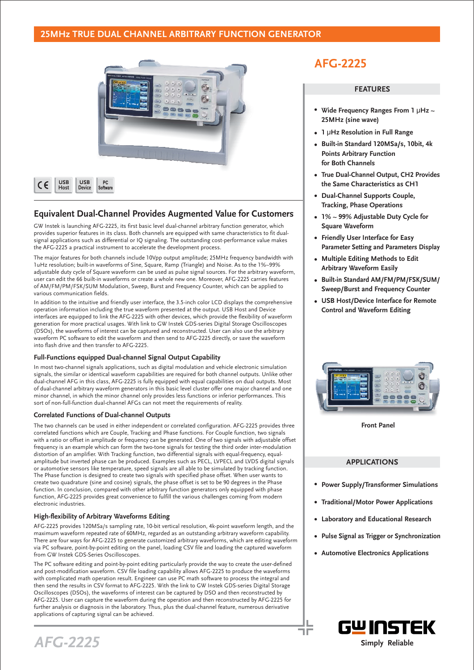## **25MHz TRUE DUAL CHANNEL ARBITRARY FUNCTION GENERATOR**



| <b>USB</b> | <b>USB</b> | РC       |
|------------|------------|----------|
| Host       | Device     | Software |
|            |            |          |

## **Equivalent Dual-Channel Provides Augmented Value for Customers**

GW Instek is launching AFG-2225, its first basic level dual-channel arbitrary function generator, which provides superior features in its class. Both channels are equipped with same characteristics to fit dualsignal applications such as differential or IQ signaling. The outstanding cost-performance value makes the AFG-2225 a practical instrument to accelerate the development process.

The major features for both channels include 10Vpp output amplitude; 25MHz frequency bandwidth with 1uHz resolution; built-in waveforms of Sine, Square, Ramp (Triangle) and Noise. As to the 1%~99% adjustable duty cycle of Square waveform can be used as pulse signal sources. For the arbitrary waveform, user can edit the 66 built-in waveforms or create a whole new one. Moreover, AFG-2225 carries features of AM/FM/PM/FSK/SUM Modulation, Sweep, Burst and Frequency Counter, which can be applied to various communication fields.

In addition to the intuitive and friendly user interface, the 3.5-inch color LCD displays the comprehensive operation information including the true waveform presented at the output. USB Host and Device interfaces are equipped to link the AFG-2225 with other devices, which provide the flexibility of waveform generation for more practical usages. With link to GW Instek GDS-series Digital Storage Oscilloscopes (DSOs), the waveforms of interest can be captured and reconstructed. User can also use the arbitrary waveform PC software to edit the waveform and then send to AFG-2225 directly, or save the waveform into flash drive and then transfer to AFG-2225.

#### **Full-Functions equipped Dual-channel Signal Output Capability**

In most two-channel signals applications, such as digital modulation and vehicle electronic simulation signals, the similar or identical waveform capabilities are required for both channel outputs. Unlike other dual-channel AFG in this class, AFG-2225 is fully equipped with equal capabilities on dual outputs. Most of dual-channel arbitrary waveform generators in this basic level cluster offer one major channel and one minor channel, in which the minor channel only provides less functions or inferior performances. This sort of non-full-function dual-channel AFGs can not meet the requirements of reality.

#### **Correlated Functions of Dual-channel Outputs**

The two channels can be used in either independent or correlated configuration. AFG-2225 provides three correlated functions which are Couple, Tracking and Phase functions. For Couple function, two signals with a ratio or offset in amplitude or frequency can be generated. One of two signals with adjustable offset frequency is an example which can form the two-tone signals for testing the third order inter-modulation distortion of an amplifier. With Tracking function, two differential signals with equal-frequency, equalamplitude but inverted phase can be produced. Examples such as PECL, LVPECL and LVDS digital signals or automotive sensors like temperature, speed signals are all able to be simulated by tracking function. The Phase function is designed to create two signals with specified phase offset. When user wants to create two quadrature (sine and cosine) signals, the phase offset is set to be 90 degrees in the Phase function. In conclusion, compared with other arbitrary function generators only equipped with phase function, AFG-2225 provides great convenience to fulfill the various challenges coming from modern electronic industries.

#### **High-flexibility of Arbitrary Waveforms Editing**

AFG-2225 provides 120MSa/s sampling rate, 10-bit vertical resolution, 4k-point waveform length, and the maximum waveform repeated rate of 60MHz, regarded as an outstanding arbitrary waveform capability. There are four ways for AFG-2225 to generate customized arbitrary waveforms, which are editing waveform via PC software, point-by-point editing on the panel, loading CSV file and loading the captured waveform from GW Instek GDS-Series Oscilloscopes.

The PC software editing and point-by-point editing particularly provide the way to create the user-defined and post-modification waveform. CSV file loading capability allows AFG-2225 to produce the waveforms with complicated math operation result. Engineer can use PC math software to process the integral and then send the results in CSV format to AFG-2225. With the link to GW Instek GDS-series Digital Storage Oscilloscopes (DSOs), the waveforms of interest can be captured by DSO and then reconstructed by AFG-2225. User can capture the waveform during the operation and then reconstructed by AFG-2225 for further analysis or diagnosis in the laboratory. Thus, plus the dual-channel feature, numerous derivative applications of capturing signal can be achieved.

# **AFG-2225**

#### **FEATURES**

- **Wide Frequency Ranges From 1 μHz ~ 25MHz (sine wave)**
- **1 μHz Resolution in Full Range**
- **Built-in Standard 120MSa/s, 10bit, 4k Points Arbitrary Function for Both Channels**
- **True Dual-Channel Output, CH2 Provides the Same Characteristics as CH1**
- **Dual-Channel Supports Couple, Tracking, Phase Operations**
- **1% ~ 99% Adjustable Duty Cycle for Square Waveform**
- **Friendly User Interface for Easy Parameter Setting and Parameters Display**
- **Multiple Editing Methods to Edit Arbitrary Waveform Easily**
- **Built-in Standard AM/FM/PM/FSK/SUM/ Sweep/Burst and Frequency Counter**
- **USB Host/Device Interface for Remote Control and Waveform Editing**



**Front Panel**

### **APPLICATIONS**

- **Power Supply/Transformer Simulations**
- **Traditional/Motor Power Applications**
- **Laboratory and Educational Research**
- **Pulse Signal as Trigger or Synchronization**
- **Automotive Electronics Applications**